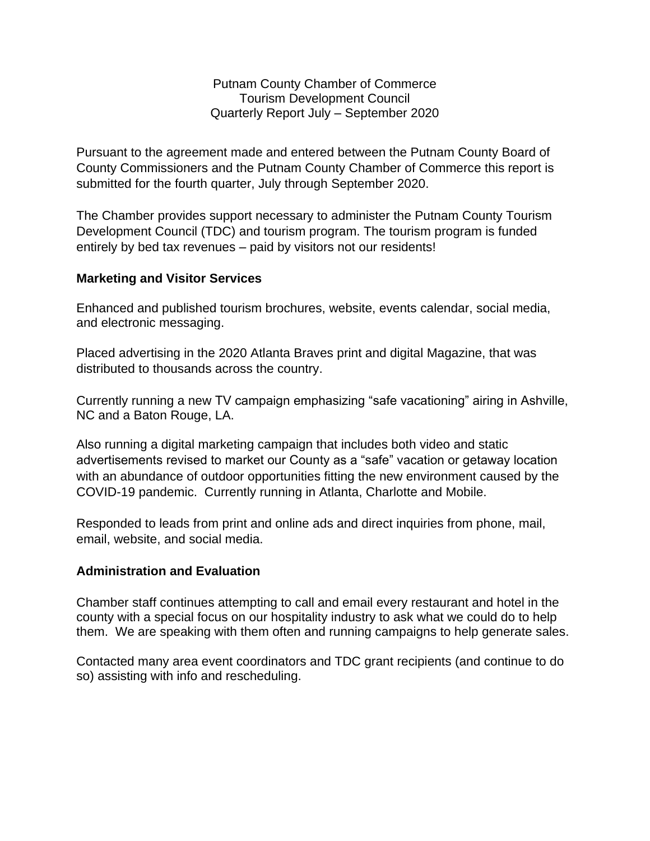Putnam County Chamber of Commerce Tourism Development Council Quarterly Report July – September 2020

Pursuant to the agreement made and entered between the Putnam County Board of County Commissioners and the Putnam County Chamber of Commerce this report is submitted for the fourth quarter, July through September 2020.

The Chamber provides support necessary to administer the Putnam County Tourism Development Council (TDC) and tourism program. The tourism program is funded entirely by bed tax revenues – paid by visitors not our residents!

## **Marketing and Visitor Services**

Enhanced and published tourism brochures, website, events calendar, social media, and electronic messaging.

Placed advertising in the 2020 Atlanta Braves print and digital Magazine, that was distributed to thousands across the country.

Currently running a new TV campaign emphasizing "safe vacationing" airing in Ashville, NC and a Baton Rouge, LA.

Also running a digital marketing campaign that includes both video and static advertisements revised to market our County as a "safe" vacation or getaway location with an abundance of outdoor opportunities fitting the new environment caused by the COVID-19 pandemic. Currently running in Atlanta, Charlotte and Mobile.

Responded to leads from print and online ads and direct inquiries from phone, mail, email, website, and social media.

## **Administration and Evaluation**

Chamber staff continues attempting to call and email every restaurant and hotel in the county with a special focus on our hospitality industry to ask what we could do to help them. We are speaking with them often and running campaigns to help generate sales.

Contacted many area event coordinators and TDC grant recipients (and continue to do so) assisting with info and rescheduling.